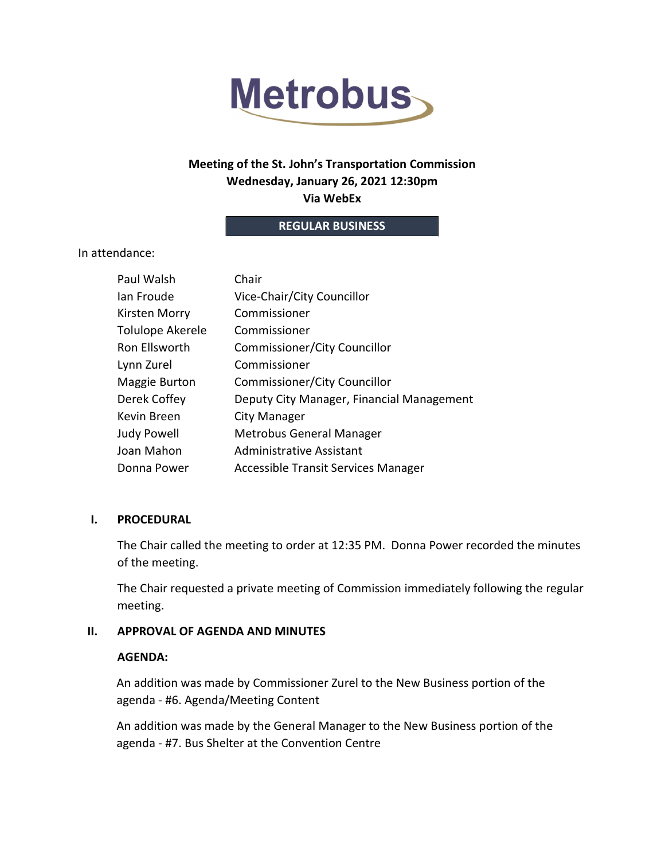

# Meeting of the St. John's Transportation Commission Wednesday, January 26, 2021 12:30pm Via WebEx

### REGULAR BUSINESS

In attendance:

| Paul Walsh       | Chair                                     |
|------------------|-------------------------------------------|
| lan Froude       | Vice-Chair/City Councillor                |
| Kirsten Morry    | Commissioner                              |
| Tolulope Akerele | Commissioner                              |
| Ron Ellsworth    | Commissioner/City Councillor              |
| Lynn Zurel       | Commissioner                              |
| Maggie Burton    | Commissioner/City Councillor              |
| Derek Coffey     | Deputy City Manager, Financial Management |
| Kevin Breen      | City Manager                              |
| Judy Powell      | Metrobus General Manager                  |
| Joan Mahon       | <b>Administrative Assistant</b>           |
| Donna Power      | Accessible Transit Services Manager       |

### I. PROCEDURAL

The Chair called the meeting to order at 12:35 PM. Donna Power recorded the minutes of the meeting.

The Chair requested a private meeting of Commission immediately following the regular meeting.

### II. APPROVAL OF AGENDA AND MINUTES

### AGENDA:

An addition was made by Commissioner Zurel to the New Business portion of the agenda - #6. Agenda/Meeting Content

An addition was made by the General Manager to the New Business portion of the agenda - #7. Bus Shelter at the Convention Centre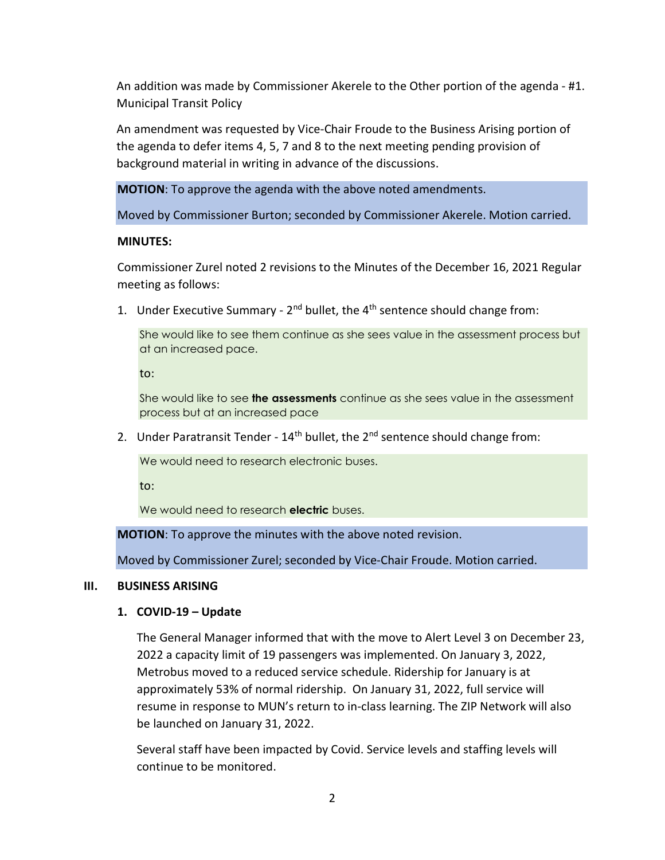An addition was made by Commissioner Akerele to the Other portion of the agenda - #1. Municipal Transit Policy

An amendment was requested by Vice-Chair Froude to the Business Arising portion of the agenda to defer items 4, 5, 7 and 8 to the next meeting pending provision of background material in writing in advance of the discussions.

MOTION: To approve the agenda with the above noted amendments.

Moved by Commissioner Burton; seconded by Commissioner Akerele. Motion carried.

### MINUTES:

Commissioner Zurel noted 2 revisions to the Minutes of the December 16, 2021 Regular meeting as follows:

1. Under Executive Summary -  $2^{nd}$  bullet, the  $4^{th}$  sentence should change from:

She would like to see them continue as she sees value in the assessment process but at an increased pace.

to:

She would like to see **the assessments** continue as she sees value in the assessment process but at an increased pace

2. Under Paratransit Tender -  $14<sup>th</sup>$  bullet, the  $2<sup>nd</sup>$  sentence should change from:

We would need to research electronic buses.

to:

We would need to research **electric** buses.

MOTION: To approve the minutes with the above noted revision.

Moved by Commissioner Zurel; seconded by Vice-Chair Froude. Motion carried.

### III. BUSINESS ARISING

### 1. COVID-19 – Update

The General Manager informed that with the move to Alert Level 3 on December 23, 2022 a capacity limit of 19 passengers was implemented. On January 3, 2022, Metrobus moved to a reduced service schedule. Ridership for January is at approximately 53% of normal ridership. On January 31, 2022, full service will resume in response to MUN's return to in-class learning. The ZIP Network will also be launched on January 31, 2022.

Several staff have been impacted by Covid. Service levels and staffing levels will continue to be monitored.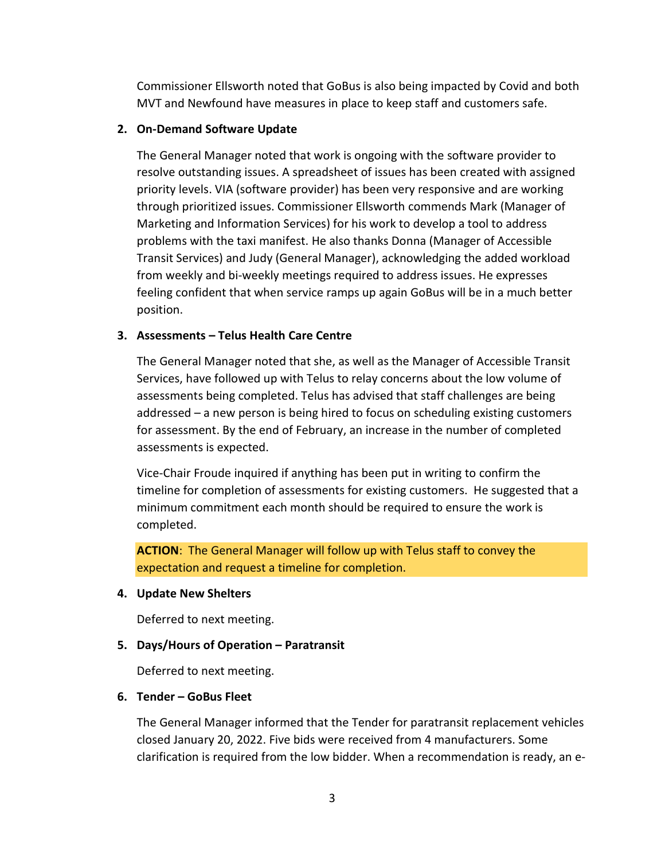Commissioner Ellsworth noted that GoBus is also being impacted by Covid and both MVT and Newfound have measures in place to keep staff and customers safe.

## 2. On-Demand Software Update

The General Manager noted that work is ongoing with the software provider to resolve outstanding issues. A spreadsheet of issues has been created with assigned priority levels. VIA (software provider) has been very responsive and are working through prioritized issues. Commissioner Ellsworth commends Mark (Manager of Marketing and Information Services) for his work to develop a tool to address problems with the taxi manifest. He also thanks Donna (Manager of Accessible Transit Services) and Judy (General Manager), acknowledging the added workload from weekly and bi-weekly meetings required to address issues. He expresses feeling confident that when service ramps up again GoBus will be in a much better position.

# 3. Assessments – Telus Health Care Centre

The General Manager noted that she, as well as the Manager of Accessible Transit Services, have followed up with Telus to relay concerns about the low volume of assessments being completed. Telus has advised that staff challenges are being addressed – a new person is being hired to focus on scheduling existing customers for assessment. By the end of February, an increase in the number of completed assessments is expected.

Vice-Chair Froude inquired if anything has been put in writing to confirm the timeline for completion of assessments for existing customers. He suggested that a minimum commitment each month should be required to ensure the work is completed.

ACTION: The General Manager will follow up with Telus staff to convey the expectation and request a timeline for completion.

### 4. Update New Shelters

Deferred to next meeting.

# 5. Days/Hours of Operation – Paratransit

Deferred to next meeting.

### 6. Tender – GoBus Fleet

The General Manager informed that the Tender for paratransit replacement vehicles closed January 20, 2022. Five bids were received from 4 manufacturers. Some clarification is required from the low bidder. When a recommendation is ready, an e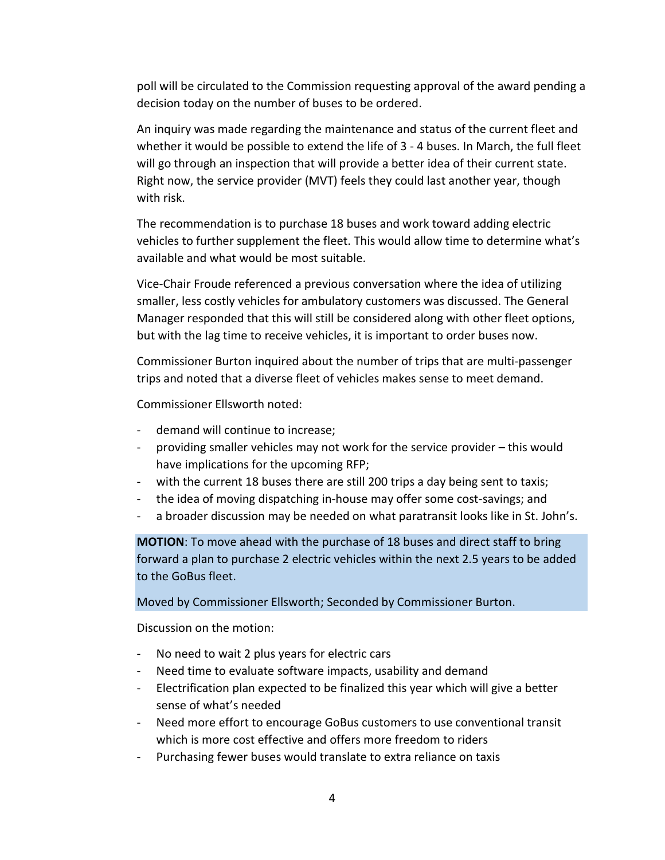poll will be circulated to the Commission requesting approval of the award pending a decision today on the number of buses to be ordered.

An inquiry was made regarding the maintenance and status of the current fleet and whether it would be possible to extend the life of 3 - 4 buses. In March, the full fleet will go through an inspection that will provide a better idea of their current state. Right now, the service provider (MVT) feels they could last another year, though with risk.

The recommendation is to purchase 18 buses and work toward adding electric vehicles to further supplement the fleet. This would allow time to determine what's available and what would be most suitable.

Vice-Chair Froude referenced a previous conversation where the idea of utilizing smaller, less costly vehicles for ambulatory customers was discussed. The General Manager responded that this will still be considered along with other fleet options, but with the lag time to receive vehicles, it is important to order buses now.

Commissioner Burton inquired about the number of trips that are multi-passenger trips and noted that a diverse fleet of vehicles makes sense to meet demand.

Commissioner Ellsworth noted:

- demand will continue to increase;
- providing smaller vehicles may not work for the service provider this would have implications for the upcoming RFP;
- with the current 18 buses there are still 200 trips a day being sent to taxis;
- the idea of moving dispatching in-house may offer some cost-savings; and
- a broader discussion may be needed on what paratransit looks like in St. John's.

MOTION: To move ahead with the purchase of 18 buses and direct staff to bring forward a plan to purchase 2 electric vehicles within the next 2.5 years to be added to the GoBus fleet.

Moved by Commissioner Ellsworth; Seconded by Commissioner Burton.

Discussion on the motion:

- No need to wait 2 plus years for electric cars
- Need time to evaluate software impacts, usability and demand
- Electrification plan expected to be finalized this year which will give a better sense of what's needed
- Need more effort to encourage GoBus customers to use conventional transit which is more cost effective and offers more freedom to riders
- Purchasing fewer buses would translate to extra reliance on taxis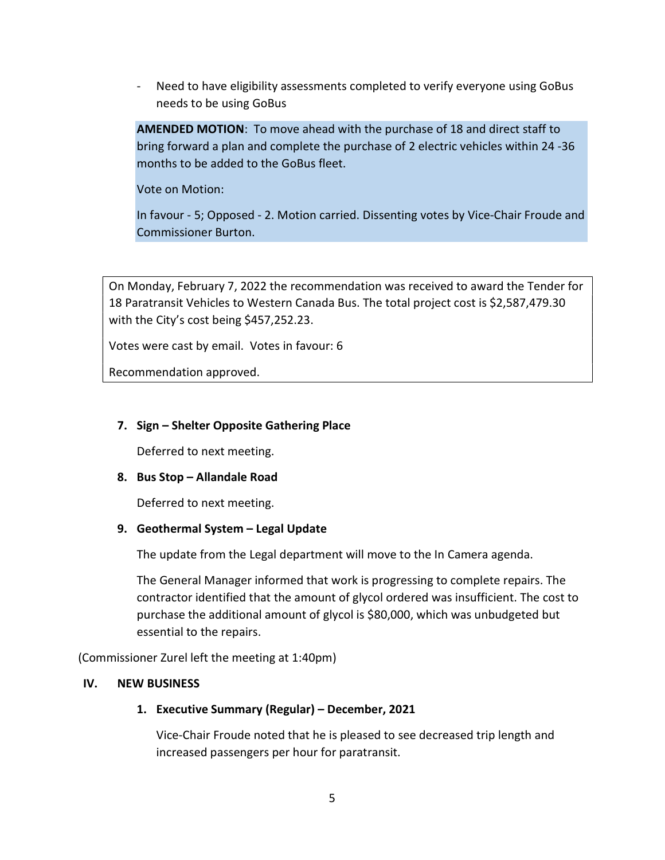- Need to have eligibility assessments completed to verify everyone using GoBus needs to be using GoBus

AMENDED MOTION: To move ahead with the purchase of 18 and direct staff to bring forward a plan and complete the purchase of 2 electric vehicles within 24 -36 months to be added to the GoBus fleet.

Vote on Motion:

In favour - 5; Opposed - 2. Motion carried. Dissenting votes by Vice-Chair Froude and Commissioner Burton.

On Monday, February 7, 2022 the recommendation was received to award the Tender for 18 Paratransit Vehicles to Western Canada Bus. The total project cost is \$2,587,479.30 with the City's cost being \$457,252.23.

Votes were cast by email. Votes in favour: 6

Recommendation approved.

### 7. Sign – Shelter Opposite Gathering Place

Deferred to next meeting.

### 8. Bus Stop – Allandale Road

Deferred to next meeting.

### 9. Geothermal System – Legal Update

The update from the Legal department will move to the In Camera agenda.

The General Manager informed that work is progressing to complete repairs. The contractor identified that the amount of glycol ordered was insufficient. The cost to purchase the additional amount of glycol is \$80,000, which was unbudgeted but essential to the repairs.

(Commissioner Zurel left the meeting at 1:40pm)

#### IV. NEW BUSINESS

### 1. Executive Summary (Regular) – December, 2021

Vice-Chair Froude noted that he is pleased to see decreased trip length and increased passengers per hour for paratransit.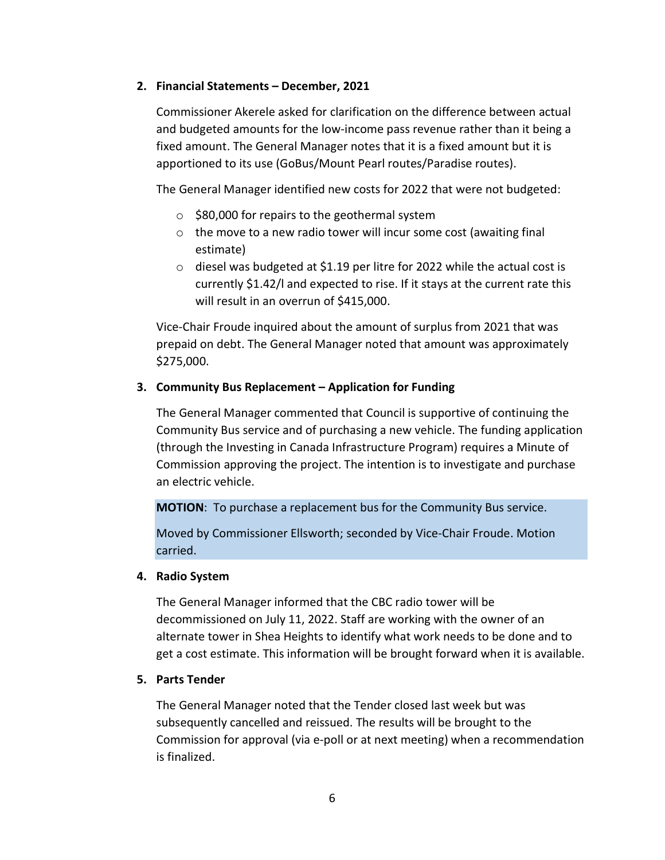#### 2. Financial Statements – December, 2021

Commissioner Akerele asked for clarification on the difference between actual and budgeted amounts for the low-income pass revenue rather than it being a fixed amount. The General Manager notes that it is a fixed amount but it is apportioned to its use (GoBus/Mount Pearl routes/Paradise routes).

The General Manager identified new costs for 2022 that were not budgeted:

- o \$80,000 for repairs to the geothermal system
- o the move to a new radio tower will incur some cost (awaiting final estimate)
- o diesel was budgeted at \$1.19 per litre for 2022 while the actual cost is currently \$1.42/l and expected to rise. If it stays at the current rate this will result in an overrun of \$415,000.

Vice-Chair Froude inquired about the amount of surplus from 2021 that was prepaid on debt. The General Manager noted that amount was approximately \$275,000.

#### 3. Community Bus Replacement – Application for Funding

The General Manager commented that Council is supportive of continuing the Community Bus service and of purchasing a new vehicle. The funding application (through the Investing in Canada Infrastructure Program) requires a Minute of Commission approving the project. The intention is to investigate and purchase an electric vehicle.

MOTION: To purchase a replacement bus for the Community Bus service.

Moved by Commissioner Ellsworth; seconded by Vice-Chair Froude. Motion carried.

#### 4. Radio System

The General Manager informed that the CBC radio tower will be decommissioned on July 11, 2022. Staff are working with the owner of an alternate tower in Shea Heights to identify what work needs to be done and to get a cost estimate. This information will be brought forward when it is available.

### 5. Parts Tender

The General Manager noted that the Tender closed last week but was subsequently cancelled and reissued. The results will be brought to the Commission for approval (via e-poll or at next meeting) when a recommendation is finalized.